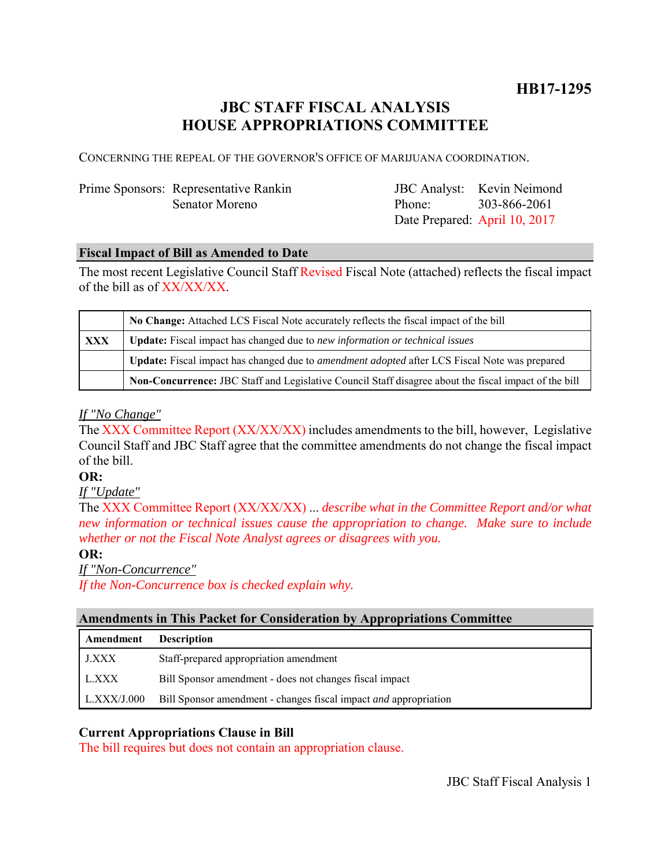# **JBC STAFF FISCAL ANALYSIS HOUSE APPROPRIATIONS COMMITTEE**

CONCERNING THE REPEAL OF THE GOVERNOR'S OFFICE OF MARIJUANA COORDINATION.

# Prime Sponsors: Representative Rankin Senator Moreno

JBC Analyst: Kevin Neimond Phone: Date Prepared: April 10, 2017 303-866-2061

# **Fiscal Impact of Bill as Amended to Date**

The most recent Legislative Council Staff Revised Fiscal Note (attached) reflects the fiscal impact of the bill as of XX/XX/XX.

|            | No Change: Attached LCS Fiscal Note accurately reflects the fiscal impact of the bill                       |
|------------|-------------------------------------------------------------------------------------------------------------|
| <b>XXX</b> | <b>Update:</b> Fiscal impact has changed due to new information or technical issues                         |
|            | <b>Update:</b> Fiscal impact has changed due to <i>amendment adopted</i> after LCS Fiscal Note was prepared |
|            | Non-Concurrence: JBC Staff and Legislative Council Staff disagree about the fiscal impact of the bill       |

# *If "No Change"*

The XXX Committee Report (XX/XX/XX) includes amendments to the bill, however, Legislative Council Staff and JBC Staff agree that the committee amendments do not change the fiscal impact of the bill.

#### **OR:**

*If "Update"*

The XXX Committee Report (XX/XX/XX) ... *describe what in the Committee Report and/or what new information or technical issues cause the appropriation to change. Make sure to include whether or not the Fiscal Note Analyst agrees or disagrees with you.*

# **OR:**

*If "Non-Concurrence"*

*If the Non-Concurrence box is checked explain why.* 

#### **Amendments in This Packet for Consideration by Appropriations Committee**

| Amendment          | <b>Description</b>                                                      |
|--------------------|-------------------------------------------------------------------------|
| J.XXX              | Staff-prepared appropriation amendment                                  |
| I L.XXX            | Bill Sponsor amendment - does not changes fiscal impact                 |
| $\mid$ L.XXX/J.000 | Bill Sponsor amendment - changes fiscal impact <i>and</i> appropriation |

# **Current Appropriations Clause in Bill**

The bill requires but does not contain an appropriation clause.